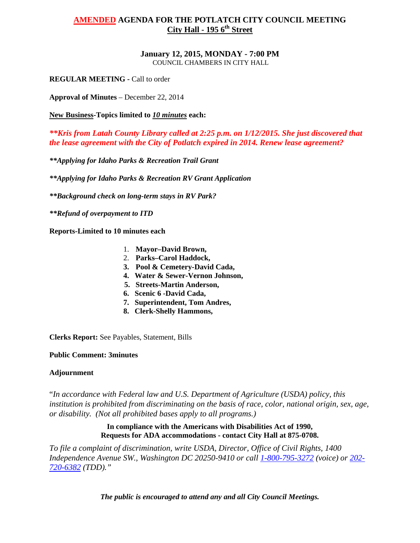#### **January 12, 2015, MONDAY - 7:00 PM** COUNCIL CHAMBERS IN CITY HALL

**REGULAR MEETING -** Call to order

**Approval of Minutes** – December 22, 2014

**New Business-Topics limited to** *10 minutes* **each:**

*\*\*Kris from Latah County Library called at 2:25 p.m. on 1/12/2015. She just discovered that the lease agreement with the City of Potlatch expired in 2014. Renew lease agreement?*

*\*\*Applying for Idaho Parks & Recreation Trail Grant*

*\*\*Applying for Idaho Parks & Recreation RV Grant Application*

*\*\*Background check on long-term stays in RV Park?*

*\*\*Refund of overpayment to ITD*

**Reports-Limited to 10 minutes each**

- 1. **Mayor–David Brown,**
- 2. **Parks–Carol Haddock,**
- **3. Pool & Cemetery-David Cada,**
- **4. Water & Sewer-Vernon Johnson,**
- **5. Streets-Martin Anderson,**
- **6. Scenic 6 -David Cada,**
- **7. Superintendent, Tom Andres,**
- **8. Clerk-Shelly Hammons,**

**Clerks Report:** See Payables, Statement, Bills

## **Public Comment: 3minutes**

## **Adjournment**

"*In accordance with Federal law and U.S. Department of Agriculture (USDA) policy, this institution is prohibited from discriminating on the basis of race, color, national origin, sex, age, or disability. (Not all prohibited bases apply to all programs.)*

## **In compliance with the Americans with Disabilities Act of 1990, Requests for ADA accommodations - contact City Hall at 875-0708.**

*To file a complaint of discrimination, write USDA, Director, Office of Civil Rights, 1400 Independence Avenue SW., Washington DC 20250-9410 or call [1-800-795-3272](http://www.cityofnezperce.com/1-800-795-3272) (voice) or [202-](http://www.cityofnezperce.com/202-720-6382) [720-6382](http://www.cityofnezperce.com/202-720-6382) (TDD)."*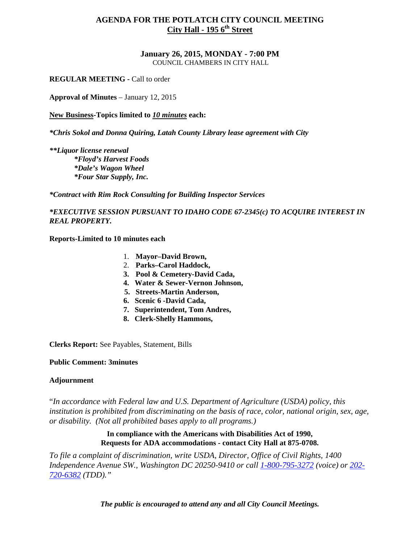**January 26, 2015, MONDAY - 7:00 PM** COUNCIL CHAMBERS IN CITY HALL

**REGULAR MEETING -** Call to order

**Approval of Minutes** – January 12, 2015

**New Business-Topics limited to** *10 minutes* **each:**

*\*Chris Sokol and Donna Quiring, Latah County Library lease agreement with City*

*\*\*Liquor license renewal \*Floyd's Harvest Foods \*Dale's Wagon Wheel \*Four Star Supply, Inc.*

*\*Contract with Rim Rock Consulting for Building Inspector Services*

*\*EXECUTIVE SESSION PURSUANT TO IDAHO CODE 67-2345(c) TO ACQUIRE INTEREST IN REAL PROPERTY.*

**Reports-Limited to 10 minutes each**

- 1. **Mayor–David Brown,**
- 2. **Parks–Carol Haddock,**
- **3. Pool & Cemetery-David Cada,**
- **4. Water & Sewer-Vernon Johnson,**
- **5. Streets-Martin Anderson,**
- **6. Scenic 6 -David Cada,**
- **7. Superintendent, Tom Andres,**
- **8. Clerk-Shelly Hammons,**

**Clerks Report:** See Payables, Statement, Bills

#### **Public Comment: 3minutes**

#### **Adjournment**

"*In accordance with Federal law and U.S. Department of Agriculture (USDA) policy, this institution is prohibited from discriminating on the basis of race, color, national origin, sex, age, or disability. (Not all prohibited bases apply to all programs.)*

> **In compliance with the Americans with Disabilities Act of 1990, Requests for ADA accommodations - contact City Hall at 875-0708.**

*To file a complaint of discrimination, write USDA, Director, Office of Civil Rights, 1400 Independence Avenue SW., Washington DC 20250-9410 or call [1-800-795-3272](http://www.cityofnezperce.com/1-800-795-3272) (voice) or [202-](http://www.cityofnezperce.com/202-720-6382) [720-6382](http://www.cityofnezperce.com/202-720-6382) (TDD)."*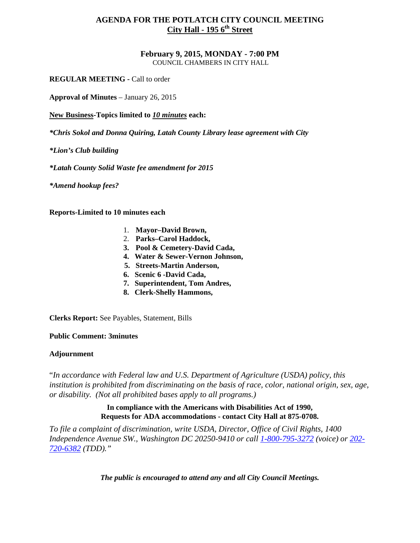#### **February 9, 2015, MONDAY - 7:00 PM** COUNCIL CHAMBERS IN CITY HALL

**REGULAR MEETING -** Call to order

**Approval of Minutes** – January 26, 2015

**New Business-Topics limited to** *10 minutes* **each:**

*\*Chris Sokol and Donna Quiring, Latah County Library lease agreement with City*

*\*Lion's Club building*

*\*Latah County Solid Waste fee amendment for 2015*

*\*Amend hookup fees?*

**Reports-Limited to 10 minutes each**

- 1. **Mayor–David Brown,**
- 2. **Parks–Carol Haddock,**
- **3. Pool & Cemetery-David Cada,**
- **4. Water & Sewer-Vernon Johnson,**
- **5. Streets-Martin Anderson,**
- **6. Scenic 6 -David Cada,**
- **7. Superintendent, Tom Andres,**
- **8. Clerk-Shelly Hammons,**

**Clerks Report:** See Payables, Statement, Bills

#### **Public Comment: 3minutes**

#### **Adjournment**

"*In accordance with Federal law and U.S. Department of Agriculture (USDA) policy, this institution is prohibited from discriminating on the basis of race, color, national origin, sex, age, or disability. (Not all prohibited bases apply to all programs.)*

# **In compliance with the Americans with Disabilities Act of 1990, Requests for ADA accommodations - contact City Hall at 875-0708.**

*To file a complaint of discrimination, write USDA, Director, Office of Civil Rights, 1400 Independence Avenue SW., Washington DC 20250-9410 or call [1-800-795-3272](http://www.cityofnezperce.com/1-800-795-3272) (voice) or [202-](http://www.cityofnezperce.com/202-720-6382) [720-6382](http://www.cityofnezperce.com/202-720-6382) (TDD)."*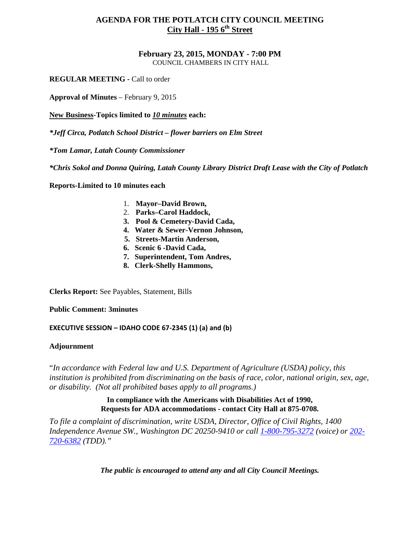#### **February 23, 2015, MONDAY - 7:00 PM** COUNCIL CHAMBERS IN CITY HALL

**REGULAR MEETING -** Call to order

**Approval of Minutes** – February 9, 2015

**New Business-Topics limited to** *10 minutes* **each:**

*\*Jeff Circa, Potlatch School District – flower barriers on Elm Street*

*\*Tom Lamar, Latah County Commissioner*

*\*Chris Sokol and Donna Quiring, Latah County Library District Draft Lease with the City of Potlatch*

**Reports-Limited to 10 minutes each**

- 1. **Mayor–David Brown,**
- 2. **Parks–Carol Haddock,**
- **3. Pool & Cemetery-David Cada,**
- **4. Water & Sewer-Vernon Johnson,**
- **5. Streets-Martin Anderson,**
- **6. Scenic 6 -David Cada,**
- **7. Superintendent, Tom Andres,**
- **8. Clerk-Shelly Hammons,**

**Clerks Report:** See Payables, Statement, Bills

**Public Comment: 3minutes**

**EXECUTIVE SESSION – IDAHO CODE 67-2345 (1) (a) and (b)**

#### **Adjournment**

"*In accordance with Federal law and U.S. Department of Agriculture (USDA) policy, this institution is prohibited from discriminating on the basis of race, color, national origin, sex, age, or disability. (Not all prohibited bases apply to all programs.)*

## **In compliance with the Americans with Disabilities Act of 1990, Requests for ADA accommodations - contact City Hall at 875-0708.**

*To file a complaint of discrimination, write USDA, Director, Office of Civil Rights, 1400 Independence Avenue SW., Washington DC 20250-9410 or call [1-800-795-3272](http://www.cityofnezperce.com/1-800-795-3272) (voice) or [202-](http://www.cityofnezperce.com/202-720-6382) [720-6382](http://www.cityofnezperce.com/202-720-6382) (TDD)."*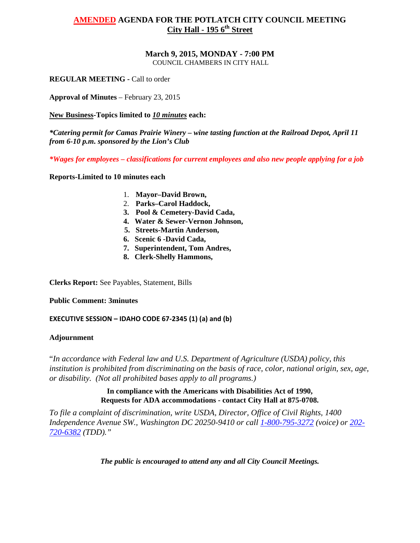# **March 9, 2015, MONDAY - 7:00 PM**

COUNCIL CHAMBERS IN CITY HALL

**REGULAR MEETING -** Call to order

**Approval of Minutes** – February 23, 2015

**New Business-Topics limited to** *10 minutes* **each:**

*\*Catering permit for Camas Prairie Winery – wine tasting function at the Railroad Depot, April 11 from 6-10 p.m. sponsored by the Lion's Club*

*\*Wages for employees – classifications for current employees and also new people applying for a job*

**Reports-Limited to 10 minutes each**

- 1. **Mayor–David Brown,**
- 2. **Parks–Carol Haddock,**
- **3. Pool & Cemetery-David Cada,**
- **4. Water & Sewer-Vernon Johnson,**
- **5. Streets-Martin Anderson,**
- **6. Scenic 6 -David Cada,**
- **7. Superintendent, Tom Andres,**
- **8. Clerk-Shelly Hammons,**

**Clerks Report:** See Payables, Statement, Bills

**Public Comment: 3minutes**

**EXECUTIVE SESSION – IDAHO CODE 67-2345 (1) (a) and (b)**

## **Adjournment**

"*In accordance with Federal law and U.S. Department of Agriculture (USDA) policy, this institution is prohibited from discriminating on the basis of race, color, national origin, sex, age, or disability. (Not all prohibited bases apply to all programs.)*

> **In compliance with the Americans with Disabilities Act of 1990, Requests for ADA accommodations - contact City Hall at 875-0708.**

*To file a complaint of discrimination, write USDA, Director, Office of Civil Rights, 1400 Independence Avenue SW., Washington DC 20250-9410 or call [1-800-795-3272](http://www.cityofnezperce.com/1-800-795-3272) (voice) or [202-](http://www.cityofnezperce.com/202-720-6382) [720-6382](http://www.cityofnezperce.com/202-720-6382) (TDD)."*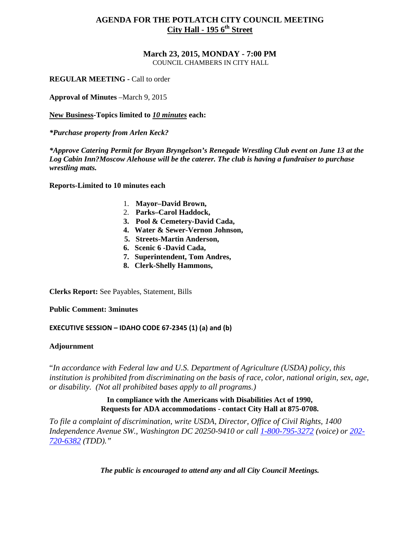#### **March 23, 2015, MONDAY - 7:00 PM** COUNCIL CHAMBERS IN CITY HALL

**REGULAR MEETING -** Call to order

**Approval of Minutes** –March 9, 2015

**New Business-Topics limited to** *10 minutes* **each:**

*\*Purchase property from Arlen Keck?*

*\*Approve Catering Permit for Bryan Bryngelson's Renegade Wrestling Club event on June 13 at the Log Cabin Inn?Moscow Alehouse will be the caterer. The club is having a fundraiser to purchase wrestling mats.*

**Reports-Limited to 10 minutes each**

- 1. **Mayor–David Brown,**
- 2. **Parks–Carol Haddock,**
- **3. Pool & Cemetery-David Cada,**
- **4. Water & Sewer-Vernon Johnson,**
- **5. Streets-Martin Anderson,**
- **6. Scenic 6 -David Cada,**
- **7. Superintendent, Tom Andres,**
- **8. Clerk-Shelly Hammons,**

**Clerks Report:** See Payables, Statement, Bills

**Public Comment: 3minutes**

**EXECUTIVE SESSION – IDAHO CODE 67-2345 (1) (a) and (b)**

#### **Adjournment**

"*In accordance with Federal law and U.S. Department of Agriculture (USDA) policy, this institution is prohibited from discriminating on the basis of race, color, national origin, sex, age, or disability. (Not all prohibited bases apply to all programs.)*

# **In compliance with the Americans with Disabilities Act of 1990, Requests for ADA accommodations - contact City Hall at 875-0708.**

*To file a complaint of discrimination, write USDA, Director, Office of Civil Rights, 1400 Independence Avenue SW., Washington DC 20250-9410 or call [1-800-795-3272](http://www.cityofnezperce.com/1-800-795-3272) (voice) or [202-](http://www.cityofnezperce.com/202-720-6382) [720-6382](http://www.cityofnezperce.com/202-720-6382) (TDD)."*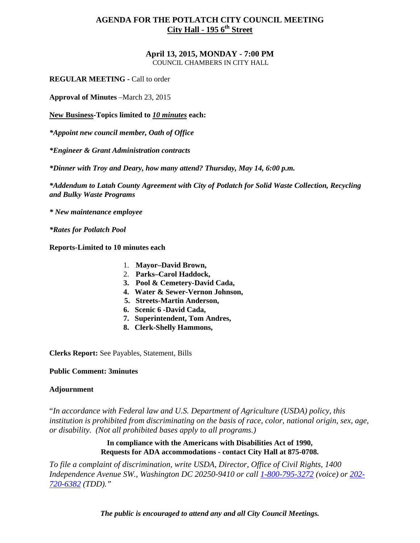# **April 13, 2015, MONDAY - 7:00 PM**

COUNCIL CHAMBERS IN CITY HALL

**REGULAR MEETING -** Call to order

**Approval of Minutes** –March 23, 2015

**New Business-Topics limited to** *10 minutes* **each:**

*\*Appoint new council member, Oath of Office*

*\*Engineer & Grant Administration contracts*

*\*Dinner with Troy and Deary, how many attend? Thursday, May 14, 6:00 p.m.*

*\*Addendum to Latah County Agreement with City of Potlatch for Solid Waste Collection, Recycling and Bulky Waste Programs*

*\* New maintenance employee*

*\*Rates for Potlatch Pool*

**Reports-Limited to 10 minutes each**

- 1. **Mayor–David Brown,**
- 2. **Parks–Carol Haddock,**
- **3. Pool & Cemetery-David Cada,**
- **4. Water & Sewer-Vernon Johnson,**
- **5. Streets-Martin Anderson,**
- **6. Scenic 6 -David Cada,**
- **7. Superintendent, Tom Andres,**
- **8. Clerk-Shelly Hammons,**

**Clerks Report:** See Payables, Statement, Bills

#### **Public Comment: 3minutes**

#### **Adjournment**

"*In accordance with Federal law and U.S. Department of Agriculture (USDA) policy, this institution is prohibited from discriminating on the basis of race, color, national origin, sex, age, or disability. (Not all prohibited bases apply to all programs.)*

> **In compliance with the Americans with Disabilities Act of 1990, Requests for ADA accommodations - contact City Hall at 875-0708.**

*To file a complaint of discrimination, write USDA, Director, Office of Civil Rights, 1400 Independence Avenue SW., Washington DC 20250-9410 or call [1-800-795-3272](http://www.cityofnezperce.com/1-800-795-3272) (voice) or [202-](http://www.cityofnezperce.com/202-720-6382) [720-6382](http://www.cityofnezperce.com/202-720-6382) (TDD)."*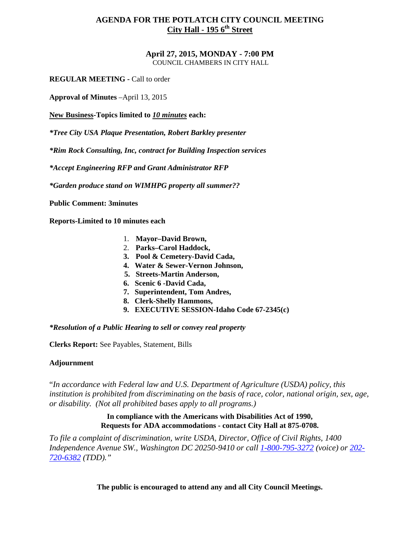#### **April 27, 2015, MONDAY - 7:00 PM** COUNCIL CHAMBERS IN CITY HALL

**REGULAR MEETING -** Call to order

**Approval of Minutes** –April 13, 2015

**New Business-Topics limited to** *10 minutes* **each:**

*\*Tree City USA Plaque Presentation, Robert Barkley presenter*

*\*Rim Rock Consulting, Inc, contract for Building Inspection services*

*\*Accept Engineering RFP and Grant Administrator RFP*

*\*Garden produce stand on WIMHPG property all summer??*

**Public Comment: 3minutes**

**Reports-Limited to 10 minutes each**

- 1. **Mayor–David Brown,**
- 2. **Parks–Carol Haddock,**
- **3. Pool & Cemetery-David Cada,**
- **4. Water & Sewer-Vernon Johnson,**
- **5. Streets-Martin Anderson,**
- **6. Scenic 6 -David Cada,**
- **7. Superintendent, Tom Andres,**
- **8. Clerk-Shelly Hammons,**
- **9. EXECUTIVE SESSION-Idaho Code 67-2345(c)**

*\*Resolution of a Public Hearing to sell or convey real property*

**Clerks Report:** See Payables, Statement, Bills

#### **Adjournment**

"*In accordance with Federal law and U.S. Department of Agriculture (USDA) policy, this institution is prohibited from discriminating on the basis of race, color, national origin, sex, age, or disability. (Not all prohibited bases apply to all programs.)*

#### **In compliance with the Americans with Disabilities Act of 1990, Requests for ADA accommodations - contact City Hall at 875-0708.**

*To file a complaint of discrimination, write USDA, Director, Office of Civil Rights, 1400 Independence Avenue SW., Washington DC 20250-9410 or call [1-800-795-3272](http://www.cityofnezperce.com/1-800-795-3272) (voice) or [202-](http://www.cityofnezperce.com/202-720-6382) [720-6382](http://www.cityofnezperce.com/202-720-6382) (TDD)."*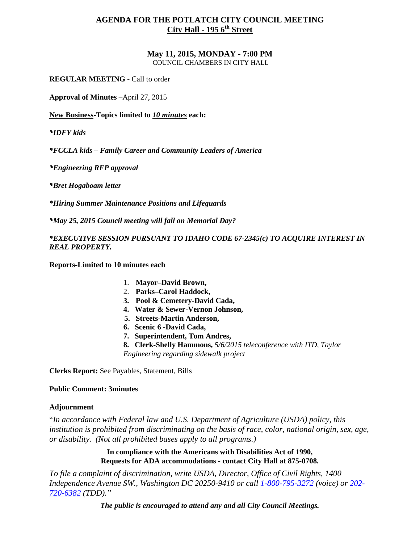#### **May 11, 2015, MONDAY - 7:00 PM** COUNCIL CHAMBERS IN CITY HALL

**REGULAR MEETING -** Call to order

**Approval of Minutes** –April 27, 2015

**New Business-Topics limited to** *10 minutes* **each:**

*\*IDFY kids*

*\*FCCLA kids – Family Career and Community Leaders of America*

*\*Engineering RFP approval*

*\*Bret Hogaboam letter*

*\*Hiring Summer Maintenance Positions and Lifeguards*

*\*May 25, 2015 Council meeting will fall on Memorial Day?*

*\*EXECUTIVE SESSION PURSUANT TO IDAHO CODE 67-2345(c) TO ACQUIRE INTEREST IN REAL PROPERTY.*

**Reports-Limited to 10 minutes each**

- 1. **Mayor–David Brown,**
- 2. **Parks–Carol Haddock,**
- **3. Pool & Cemetery-David Cada,**
- **4. Water & Sewer-Vernon Johnson,**
- **5. Streets-Martin Anderson,**
- **6. Scenic 6 -David Cada,**
- **7. Superintendent, Tom Andres,**
- **8. Clerk-Shelly Hammons,** *5/6/2015 teleconference with ITD, Taylor Engineering regarding sidewalk project*

**Clerks Report:** See Payables, Statement, Bills

#### **Public Comment: 3minutes**

#### **Adjournment**

"*In accordance with Federal law and U.S. Department of Agriculture (USDA) policy, this institution is prohibited from discriminating on the basis of race, color, national origin, sex, age, or disability. (Not all prohibited bases apply to all programs.)*

> **In compliance with the Americans with Disabilities Act of 1990, Requests for ADA accommodations - contact City Hall at 875-0708.**

*To file a complaint of discrimination, write USDA, Director, Office of Civil Rights, 1400 Independence Avenue SW., Washington DC 20250-9410 or call [1-800-795-3272](http://www.cityofnezperce.com/1-800-795-3272) (voice) or [202-](http://www.cityofnezperce.com/202-720-6382) [720-6382](http://www.cityofnezperce.com/202-720-6382) (TDD)."*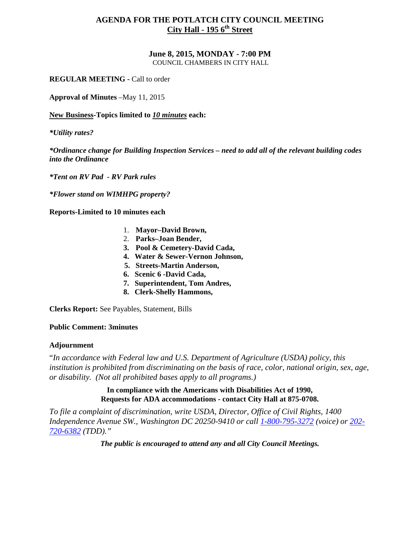# **June 8, 2015, MONDAY - 7:00 PM**

COUNCIL CHAMBERS IN CITY HALL

**REGULAR MEETING -** Call to order

**Approval of Minutes** –May 11, 2015

**New Business-Topics limited to** *10 minutes* **each:**

*\*Utility rates?*

*\*Ordinance change for Building Inspection Services – need to add all of the relevant building codes into the Ordinance*

*\*Tent on RV Pad - RV Park rules*

*\*Flower stand on WIMHPG property?*

**Reports-Limited to 10 minutes each**

- 1. **Mayor–David Brown,**
- 2. **Parks–Joan Bender,**
- **3. Pool & Cemetery-David Cada,**
- **4. Water & Sewer-Vernon Johnson,**
- **5. Streets-Martin Anderson,**
- **6. Scenic 6 -David Cada,**
- **7. Superintendent, Tom Andres,**
- **8. Clerk-Shelly Hammons,**

**Clerks Report:** See Payables, Statement, Bills

#### **Public Comment: 3minutes**

#### **Adjournment**

"*In accordance with Federal law and U.S. Department of Agriculture (USDA) policy, this institution is prohibited from discriminating on the basis of race, color, national origin, sex, age, or disability. (Not all prohibited bases apply to all programs.)*

#### **In compliance with the Americans with Disabilities Act of 1990, Requests for ADA accommodations - contact City Hall at 875-0708.**

*To file a complaint of discrimination, write USDA, Director, Office of Civil Rights, 1400 Independence Avenue SW., Washington DC 20250-9410 or call [1-800-795-3272](http://www.cityofnezperce.com/1-800-795-3272) (voice) or [202-](http://www.cityofnezperce.com/202-720-6382) [720-6382](http://www.cityofnezperce.com/202-720-6382) (TDD)."*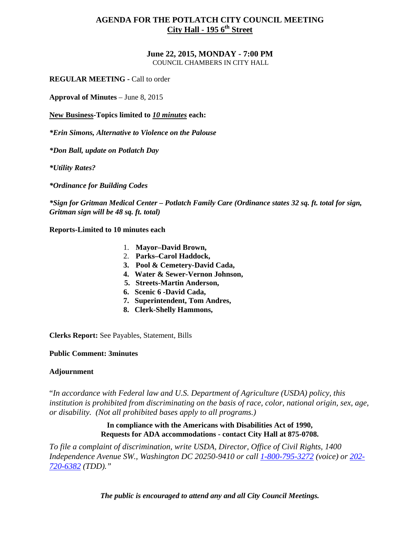# **June 22, 2015, MONDAY - 7:00 PM**

COUNCIL CHAMBERS IN CITY HALL

**REGULAR MEETING -** Call to order

**Approval of Minutes** – June 8, 2015

**New Business-Topics limited to** *10 minutes* **each:**

*\*Erin Simons, Alternative to Violence on the Palouse*

*\*Don Ball, update on Potlatch Day*

*\*Utility Rates?*

*\*Ordinance for Building Codes*

*\*Sign for Gritman Medical Center – Potlatch Family Care (Ordinance states 32 sq. ft. total for sign, Gritman sign will be 48 sq. ft. total)*

**Reports-Limited to 10 minutes each**

- 1. **Mayor–David Brown,**
- 2. **Parks–Carol Haddock,**
- **3. Pool & Cemetery-David Cada,**
- **4. Water & Sewer-Vernon Johnson,**
- **5. Streets-Martin Anderson,**
- **6. Scenic 6 -David Cada,**
- **7. Superintendent, Tom Andres,**
- **8. Clerk-Shelly Hammons,**

**Clerks Report:** See Payables, Statement, Bills

#### **Public Comment: 3minutes**

## **Adjournment**

"*In accordance with Federal law and U.S. Department of Agriculture (USDA) policy, this institution is prohibited from discriminating on the basis of race, color, national origin, sex, age, or disability. (Not all prohibited bases apply to all programs.)*

## **In compliance with the Americans with Disabilities Act of 1990, Requests for ADA accommodations - contact City Hall at 875-0708.**

*To file a complaint of discrimination, write USDA, Director, Office of Civil Rights, 1400 Independence Avenue SW., Washington DC 20250-9410 or call [1-800-795-3272](http://www.cityofnezperce.com/1-800-795-3272) (voice) or [202-](http://www.cityofnezperce.com/202-720-6382) [720-6382](http://www.cityofnezperce.com/202-720-6382) (TDD)."*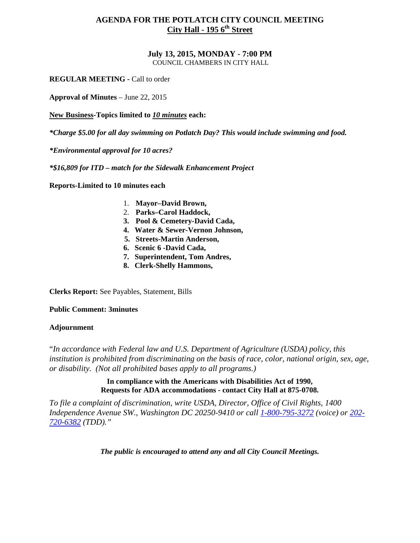#### **July 13, 2015, MONDAY - 7:00 PM** COUNCIL CHAMBERS IN CITY HALL

**REGULAR MEETING -** Call to order

**Approval of Minutes** – June 22, 2015

**New Business-Topics limited to** *10 minutes* **each:**

*\*Charge \$5.00 for all day swimming on Potlatch Day? This would include swimming and food.*

*\*Environmental approval for 10 acres?*

*\*\$16,809 for ITD – match for the Sidewalk Enhancement Project*

**Reports-Limited to 10 minutes each**

- 1. **Mayor–David Brown,**
- 2. **Parks–Carol Haddock,**
- **3. Pool & Cemetery-David Cada,**
- **4. Water & Sewer-Vernon Johnson,**
- **5. Streets-Martin Anderson,**
- **6. Scenic 6 -David Cada,**
- **7. Superintendent, Tom Andres,**
- **8. Clerk-Shelly Hammons,**

**Clerks Report:** See Payables, Statement, Bills

**Public Comment: 3minutes**

## **Adjournment**

"*In accordance with Federal law and U.S. Department of Agriculture (USDA) policy, this institution is prohibited from discriminating on the basis of race, color, national origin, sex, age, or disability. (Not all prohibited bases apply to all programs.)*

# **In compliance with the Americans with Disabilities Act of 1990, Requests for ADA accommodations - contact City Hall at 875-0708.**

*To file a complaint of discrimination, write USDA, Director, Office of Civil Rights, 1400 Independence Avenue SW., Washington DC 20250-9410 or call [1-800-795-3272](http://www.cityofnezperce.com/1-800-795-3272) (voice) or [202-](http://www.cityofnezperce.com/202-720-6382) [720-6382](http://www.cityofnezperce.com/202-720-6382) (TDD)."*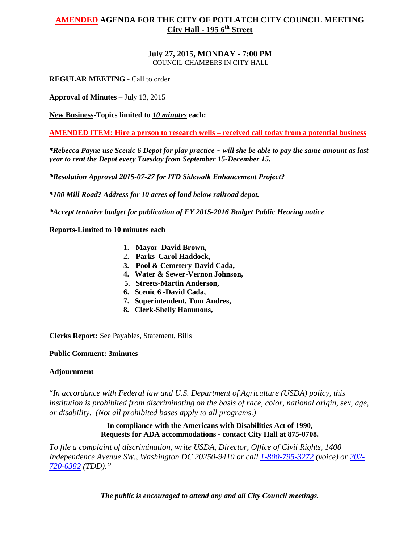# **AMENDED AGENDA FOR THE CITY OF POTLATCH CITY COUNCIL MEETING City Hall - 195 6th Street**

#### **July 27, 2015, MONDAY - 7:00 PM** COUNCIL CHAMBERS IN CITY HALL

**REGULAR MEETING -** Call to order

**Approval of Minutes** – July 13, 2015

**New Business-Topics limited to** *10 minutes* **each:**

## **AMENDED ITEM: Hire a person to research wells – received call today from a potential business**

*\*Rebecca Payne use Scenic 6 Depot for play practice ~ will she be able to pay the same amount as last year to rent the Depot every Tuesday from September 15-December 15.*

*\*Resolution Approval 2015-07-27 for ITD Sidewalk Enhancement Project?*

*\*100 Mill Road? Address for 10 acres of land below railroad depot.*

*\*Accept tentative budget for publication of FY 2015-2016 Budget Public Hearing notice*

**Reports-Limited to 10 minutes each**

- 1. **Mayor–David Brown,**
- 2. **Parks–Carol Haddock,**
- **3. Pool & Cemetery-David Cada,**
- **4. Water & Sewer-Vernon Johnson,**
- **5. Streets-Martin Anderson,**
- **6. Scenic 6 -David Cada,**
- **7. Superintendent, Tom Andres,**
- **8. Clerk-Shelly Hammons,**

**Clerks Report:** See Payables, Statement, Bills

## **Public Comment: 3minutes**

# **Adjournment**

"*In accordance with Federal law and U.S. Department of Agriculture (USDA) policy, this institution is prohibited from discriminating on the basis of race, color, national origin, sex, age, or disability. (Not all prohibited bases apply to all programs.)*

## **In compliance with the Americans with Disabilities Act of 1990, Requests for ADA accommodations - contact City Hall at 875-0708.**

*To file a complaint of discrimination, write USDA, Director, Office of Civil Rights, 1400 Independence Avenue SW., Washington DC 20250-9410 or call [1-800-795-3272](http://www.cityofnezperce.com/1-800-795-3272) (voice) or [202-](http://www.cityofnezperce.com/202-720-6382) [720-6382](http://www.cityofnezperce.com/202-720-6382) (TDD)."*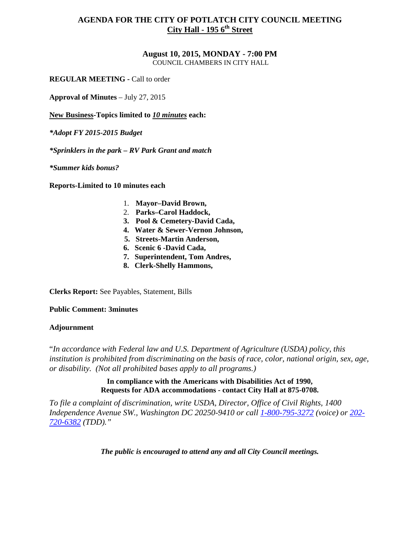#### **August 10, 2015, MONDAY - 7:00 PM** COUNCIL CHAMBERS IN CITY HALL

**REGULAR MEETING -** Call to order

**Approval of Minutes** – July 27, 2015

**New Business-Topics limited to** *10 minutes* **each:**

*\*Adopt FY 2015-2015 Budget*

*\*Sprinklers in the park – RV Park Grant and match*

*\*Summer kids bonus?*

**Reports-Limited to 10 minutes each**

- 1. **Mayor–David Brown,**
- 2. **Parks–Carol Haddock,**
- **3. Pool & Cemetery-David Cada,**
- **4. Water & Sewer-Vernon Johnson,**
- **5. Streets-Martin Anderson,**
- **6. Scenic 6 -David Cada,**
- **7. Superintendent, Tom Andres,**
- **8. Clerk-Shelly Hammons,**

**Clerks Report:** See Payables, Statement, Bills

**Public Comment: 3minutes**

#### **Adjournment**

"*In accordance with Federal law and U.S. Department of Agriculture (USDA) policy, this institution is prohibited from discriminating on the basis of race, color, national origin, sex, age, or disability. (Not all prohibited bases apply to all programs.)*

## **In compliance with the Americans with Disabilities Act of 1990, Requests for ADA accommodations - contact City Hall at 875-0708.**

*To file a complaint of discrimination, write USDA, Director, Office of Civil Rights, 1400 Independence Avenue SW., Washington DC 20250-9410 or call [1-800-795-3272](http://www.cityofnezperce.com/1-800-795-3272) (voice) or [202-](http://www.cityofnezperce.com/202-720-6382) [720-6382](http://www.cityofnezperce.com/202-720-6382) (TDD)."*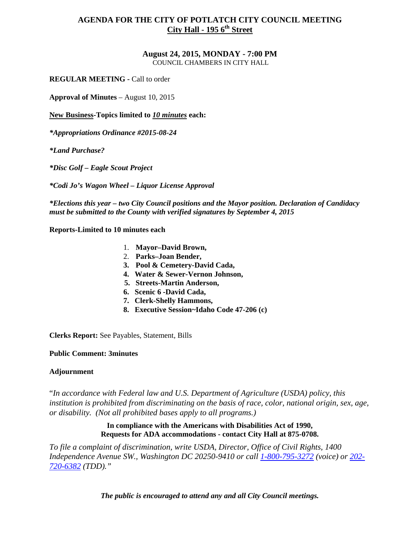# **August 24, 2015, MONDAY - 7:00 PM**

COUNCIL CHAMBERS IN CITY HALL

**REGULAR MEETING -** Call to order

**Approval of Minutes** – August 10, 2015

**New Business-Topics limited to** *10 minutes* **each:**

*\*Appropriations Ordinance #2015-08-24*

*\*Land Purchase?*

*\*Disc Golf – Eagle Scout Project*

*\*Codi Jo's Wagon Wheel – Liquor License Approval*

*\*Elections this year – two City Council positions and the Mayor position. Declaration of Candidacy must be submitted to the County with verified signatures by September 4, 2015*

**Reports-Limited to 10 minutes each**

- 1. **Mayor–David Brown,**
- 2. **Parks–Joan Bender,**
- **3. Pool & Cemetery-David Cada,**
- **4. Water & Sewer-Vernon Johnson,**
- **5. Streets-Martin Anderson,**
- **6. Scenic 6 -David Cada,**
- **7. Clerk-Shelly Hammons,**
- **8. Executive Session~Idaho Code 47-206 (c)**

**Clerks Report:** See Payables, Statement, Bills

#### **Public Comment: 3minutes**

## **Adjournment**

"*In accordance with Federal law and U.S. Department of Agriculture (USDA) policy, this institution is prohibited from discriminating on the basis of race, color, national origin, sex, age, or disability. (Not all prohibited bases apply to all programs.)*

## **In compliance with the Americans with Disabilities Act of 1990, Requests for ADA accommodations - contact City Hall at 875-0708.**

*To file a complaint of discrimination, write USDA, Director, Office of Civil Rights, 1400 Independence Avenue SW., Washington DC 20250-9410 or call [1-800-795-3272](http://www.cityofnezperce.com/1-800-795-3272) (voice) or [202-](http://www.cityofnezperce.com/202-720-6382) [720-6382](http://www.cityofnezperce.com/202-720-6382) (TDD)."*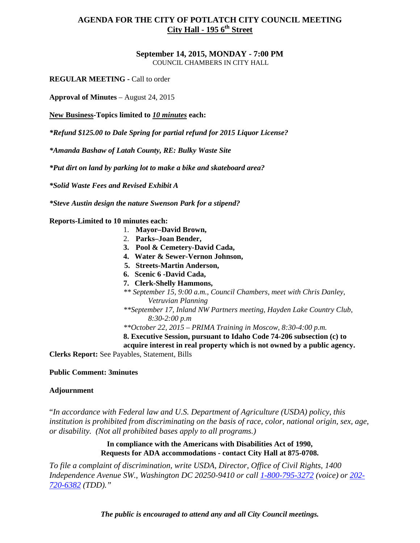#### **September 14, 2015, MONDAY - 7:00 PM** COUNCIL CHAMBERS IN CITY HALL

**REGULAR MEETING -** Call to order

**Approval of Minutes** – August 24, 2015

**New Business-Topics limited to** *10 minutes* **each:**

*\*Refund \$125.00 to Dale Spring for partial refund for 2015 Liquor License?*

*\*Amanda Bashaw of Latah County, RE: Bulky Waste Site*

*\*Put dirt on land by parking lot to make a bike and skateboard area?*

*\*Solid Waste Fees and Revised Exhibit A*

*\*Steve Austin design the nature Swenson Park for a stipend?*

**Reports-Limited to 10 minutes each:**

- 1. **Mayor–David Brown,**
- 2. **Parks–Joan Bender,**
- **3. Pool & Cemetery-David Cada,**
- **4. Water & Sewer-Vernon Johnson,**
- **5. Streets-Martin Anderson,**
- **6. Scenic 6 -David Cada,**
- **7. Clerk-Shelly Hammons,**
- *\*\* September 15, 9:00 a.m., Council Chambers, meet with Chris Danley, Vetruvian Planning*
- *\*\*September 17, Inland NW Partners meeting, Hayden Lake Country Club, 8:30-2:00 p.m*
- *\*\*October 22, 2015 – PRIMA Training in Moscow, 8:30-4:00 p.m.*

**8. Executive Session, pursuant to Idaho Code 74-206 subsection (c) to** 

**acquire interest in real property which is not owned by a public agency.**

**Clerks Report:** See Payables, Statement, Bills

## **Public Comment: 3minutes**

## **Adjournment**

"*In accordance with Federal law and U.S. Department of Agriculture (USDA) policy, this institution is prohibited from discriminating on the basis of race, color, national origin, sex, age, or disability. (Not all prohibited bases apply to all programs.)*

> **In compliance with the Americans with Disabilities Act of 1990, Requests for ADA accommodations - contact City Hall at 875-0708.**

*To file a complaint of discrimination, write USDA, Director, Office of Civil Rights, 1400 Independence Avenue SW., Washington DC 20250-9410 or call [1-800-795-3272](http://www.cityofnezperce.com/1-800-795-3272) (voice) or [202-](http://www.cityofnezperce.com/202-720-6382) [720-6382](http://www.cityofnezperce.com/202-720-6382) (TDD)."*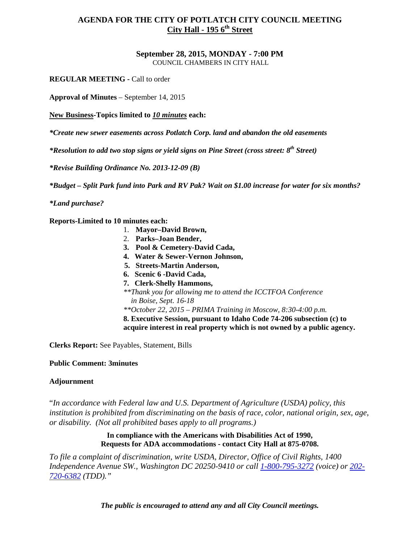# **September 28, 2015, MONDAY - 7:00 PM**

COUNCIL CHAMBERS IN CITY HALL

**REGULAR MEETING -** Call to order

**Approval of Minutes** – September 14, 2015

**New Business-Topics limited to** *10 minutes* **each:**

*\*Create new sewer easements across Potlatch Corp. land and abandon the old easements*

*\*Resolution to add two stop signs or yield signs on Pine Street (cross street: 8th Street)*

*\*Revise Building Ordinance No. 2013-12-09 (B)*

*\*Budget – Split Park fund into Park and RV Pak? Wait on \$1.00 increase for water for six months?*

*\*Land purchase?*

**Reports-Limited to 10 minutes each:**

- 1. **Mayor–David Brown,**
- 2. **Parks–Joan Bender,**
- **3. Pool & Cemetery-David Cada,**
- **4. Water & Sewer-Vernon Johnson,**
- **5. Streets-Martin Anderson,**
- **6. Scenic 6 -David Cada,**
- **7. Clerk-Shelly Hammons,** *\*\*Thank you for allowing me to attend the ICCTFOA Conference in Boise, Sept. 16-18*

*\*\*October 22, 2015 – PRIMA Training in Moscow, 8:30-4:00 p.m.*

**8. Executive Session, pursuant to Idaho Code 74-206 subsection (c) to acquire interest in real property which is not owned by a public agency.**

**Clerks Report:** See Payables, Statement, Bills

## **Public Comment: 3minutes**

## **Adjournment**

"*In accordance with Federal law and U.S. Department of Agriculture (USDA) policy, this institution is prohibited from discriminating on the basis of race, color, national origin, sex, age, or disability. (Not all prohibited bases apply to all programs.)*

## **In compliance with the Americans with Disabilities Act of 1990, Requests for ADA accommodations - contact City Hall at 875-0708.**

*To file a complaint of discrimination, write USDA, Director, Office of Civil Rights, 1400 Independence Avenue SW., Washington DC 20250-9410 or call [1-800-795-3272](http://www.cityofnezperce.com/1-800-795-3272) (voice) or [202-](http://www.cityofnezperce.com/202-720-6382) [720-6382](http://www.cityofnezperce.com/202-720-6382) (TDD)."*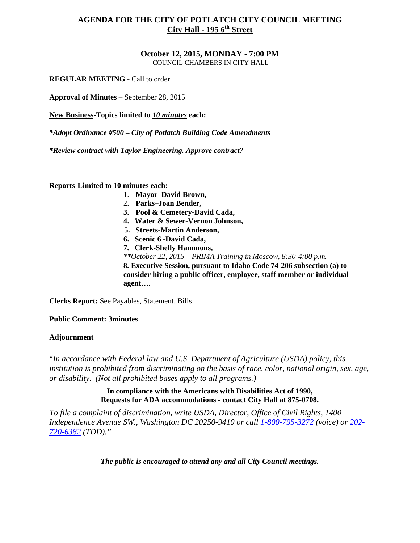#### **October 12, 2015, MONDAY - 7:00 PM** COUNCIL CHAMBERS IN CITY HALL

**REGULAR MEETING -** Call to order

**Approval of Minutes** – September 28, 2015

**New Business-Topics limited to** *10 minutes* **each:**

*\*Adopt Ordinance #500 – City of Potlatch Building Code Amendments*

*\*Review contract with Taylor Engineering. Approve contract?*

**Reports-Limited to 10 minutes each:**

- 1. **Mayor–David Brown,**
- 2. **Parks–Joan Bender,**
- **3. Pool & Cemetery-David Cada,**
- **4. Water & Sewer-Vernon Johnson,**
- **5. Streets-Martin Anderson,**
- **6. Scenic 6 -David Cada,**
- **7. Clerk-Shelly Hammons,**

*\*\*October 22, 2015 – PRIMA Training in Moscow, 8:30-4:00 p.m.*

**8. Executive Session, pursuant to Idaho Code 74-206 subsection (a) to consider hiring a public officer, employee, staff member or individual agent….**

**Clerks Report:** See Payables, Statement, Bills

## **Public Comment: 3minutes**

## **Adjournment**

"*In accordance with Federal law and U.S. Department of Agriculture (USDA) policy, this institution is prohibited from discriminating on the basis of race, color, national origin, sex, age, or disability. (Not all prohibited bases apply to all programs.)*

> **In compliance with the Americans with Disabilities Act of 1990, Requests for ADA accommodations - contact City Hall at 875-0708.**

*To file a complaint of discrimination, write USDA, Director, Office of Civil Rights, 1400 Independence Avenue SW., Washington DC 20250-9410 or call [1-800-795-3272](http://www.cityofnezperce.com/1-800-795-3272) (voice) or [202-](http://www.cityofnezperce.com/202-720-6382) [720-6382](http://www.cityofnezperce.com/202-720-6382) (TDD)."*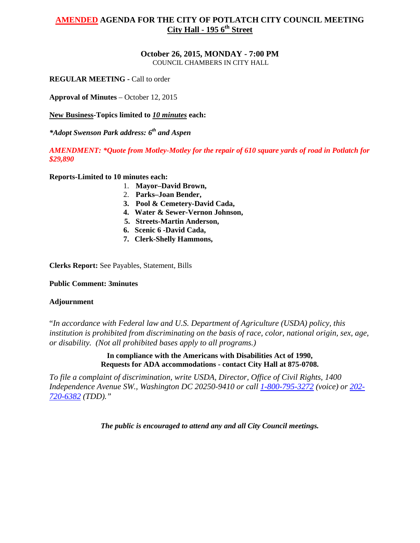# **AMENDED AGENDA FOR THE CITY OF POTLATCH CITY COUNCIL MEETING City Hall - 195 6th Street**

# **October 26, 2015, MONDAY - 7:00 PM**

COUNCIL CHAMBERS IN CITY HALL

**REGULAR MEETING -** Call to order

**Approval of Minutes** – October 12, 2015

**New Business-Topics limited to** *10 minutes* **each:**

*\*Adopt Swenson Park address: 6th and Aspen*

*AMENDMENT: \*Quote from Motley-Motley for the repair of 610 square yards of road in Potlatch for \$29,890*

**Reports-Limited to 10 minutes each:**

- 1. **Mayor–David Brown,**
- 2. **Parks–Joan Bender,**
- **3. Pool & Cemetery-David Cada,**
- **4. Water & Sewer-Vernon Johnson,**
- **5. Streets-Martin Anderson,**
- **6. Scenic 6 -David Cada,**
- **7. Clerk-Shelly Hammons,**

**Clerks Report:** See Payables, Statement, Bills

**Public Comment: 3minutes**

## **Adjournment**

"*In accordance with Federal law and U.S. Department of Agriculture (USDA) policy, this institution is prohibited from discriminating on the basis of race, color, national origin, sex, age, or disability. (Not all prohibited bases apply to all programs.)*

> **In compliance with the Americans with Disabilities Act of 1990, Requests for ADA accommodations - contact City Hall at 875-0708.**

*To file a complaint of discrimination, write USDA, Director, Office of Civil Rights, 1400 Independence Avenue SW., Washington DC 20250-9410 or call [1-800-795-3272](http://www.cityofnezperce.com/1-800-795-3272) (voice) or [202-](http://www.cityofnezperce.com/202-720-6382) [720-6382](http://www.cityofnezperce.com/202-720-6382) (TDD)."*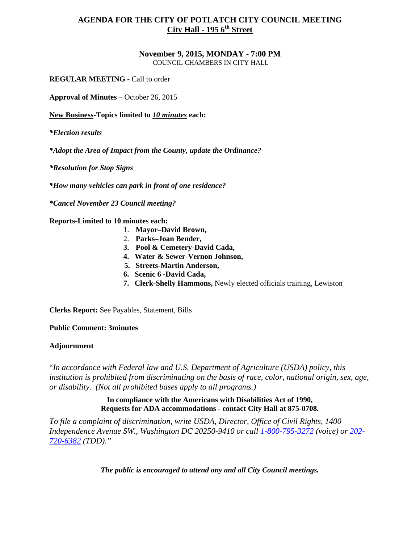#### **November 9, 2015, MONDAY - 7:00 PM** COUNCIL CHAMBERS IN CITY HALL

**REGULAR MEETING -** Call to order

**Approval of Minutes** – October 26, 2015

**New Business-Topics limited to** *10 minutes* **each:**

*\*Election results*

*\*Adopt the Area of Impact from the County, update the Ordinance?*

*\*Resolution for Stop Signs*

*\*How many vehicles can park in front of one residence?*

*\*Cancel November 23 Council meeting?*

**Reports-Limited to 10 minutes each:**

- 1. **Mayor–David Brown,**
- 2. **Parks–Joan Bender,**
- **3. Pool & Cemetery-David Cada,**
- **4. Water & Sewer-Vernon Johnson,**
- **5. Streets-Martin Anderson,**
- **6. Scenic 6 -David Cada,**
- **7. Clerk-Shelly Hammons,** Newly elected officials training, Lewiston

**Clerks Report:** See Payables, Statement, Bills

**Public Comment: 3minutes**

## **Adjournment**

"*In accordance with Federal law and U.S. Department of Agriculture (USDA) policy, this institution is prohibited from discriminating on the basis of race, color, national origin, sex, age, or disability. (Not all prohibited bases apply to all programs.)*

# **In compliance with the Americans with Disabilities Act of 1990, Requests for ADA accommodations - contact City Hall at 875-0708.**

*To file a complaint of discrimination, write USDA, Director, Office of Civil Rights, 1400 Independence Avenue SW., Washington DC 20250-9410 or call [1-800-795-3272](http://www.cityofnezperce.com/1-800-795-3272) (voice) or [202-](http://www.cityofnezperce.com/202-720-6382) [720-6382](http://www.cityofnezperce.com/202-720-6382) (TDD)."*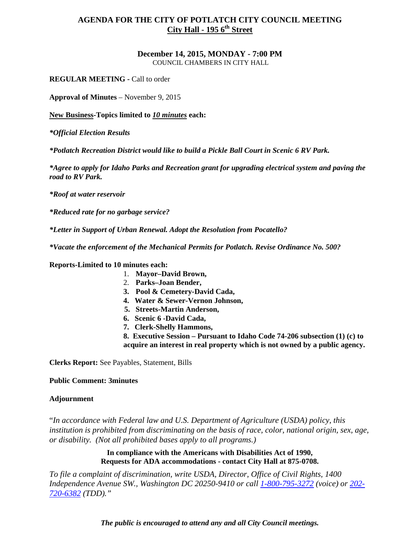#### **December 14, 2015, MONDAY - 7:00 PM** COUNCIL CHAMBERS IN CITY HALL

**REGULAR MEETING -** Call to order

**Approval of Minutes** – November 9, 2015

**New Business-Topics limited to** *10 minutes* **each:**

*\*Official Election Results*

*\*Potlatch Recreation District would like to build a Pickle Ball Court in Scenic 6 RV Park.*

*\*Agree to apply for Idaho Parks and Recreation grant for upgrading electrical system and paving the road to RV Park.*

*\*Roof at water reservoir*

*\*Reduced rate for no garbage service?*

*\*Letter in Support of Urban Renewal. Adopt the Resolution from Pocatello?*

*\*Vacate the enforcement of the Mechanical Permits for Potlatch. Revise Ordinance No. 500?*

**Reports-Limited to 10 minutes each:**

- 1. **Mayor–David Brown,**
- 2. **Parks–Joan Bender,**
- **3. Pool & Cemetery-David Cada,**
- **4. Water & Sewer-Vernon Johnson,**
- **5. Streets-Martin Anderson,**
- **6. Scenic 6 -David Cada,**
- **7. Clerk-Shelly Hammons,**

**8. Executive Session – Pursuant to Idaho Code 74-206 subsection (1) (c) to acquire an interest in real property which is not owned by a public agency.**

**Clerks Report:** See Payables, Statement, Bills

**Public Comment: 3minutes**

# **Adjournment**

"*In accordance with Federal law and U.S. Department of Agriculture (USDA) policy, this institution is prohibited from discriminating on the basis of race, color, national origin, sex, age, or disability. (Not all prohibited bases apply to all programs.)*

> **In compliance with the Americans with Disabilities Act of 1990, Requests for ADA accommodations - contact City Hall at 875-0708.**

*To file a complaint of discrimination, write USDA, Director, Office of Civil Rights, 1400 Independence Avenue SW., Washington DC 20250-9410 or call [1-800-795-3272](http://www.cityofnezperce.com/1-800-795-3272) (voice) or [202-](http://www.cityofnezperce.com/202-720-6382) [720-6382](http://www.cityofnezperce.com/202-720-6382) (TDD)."*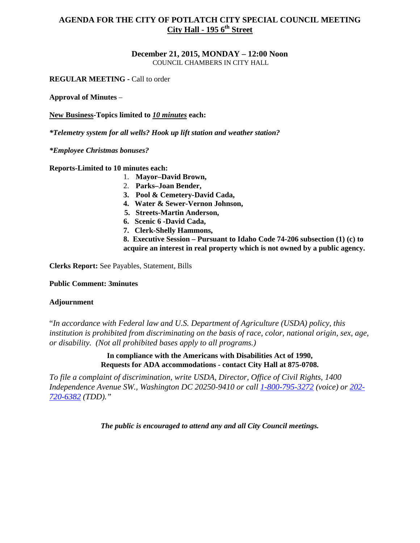#### **December 21, 2015, MONDAY – 12:00 Noon** COUNCIL CHAMBERS IN CITY HALL

**REGULAR MEETING -** Call to order

**Approval of Minutes** –

**New Business-Topics limited to** *10 minutes* **each:**

*\*Telemetry system for all wells? Hook up lift station and weather station?*

*\*Employee Christmas bonuses?*

**Reports-Limited to 10 minutes each:**

- 1. **Mayor–David Brown,**
- 2. **Parks–Joan Bender,**
- **3. Pool & Cemetery-David Cada,**
- **4. Water & Sewer-Vernon Johnson,**
- **5. Streets-Martin Anderson,**
- **6. Scenic 6 -David Cada,**
- **7. Clerk-Shelly Hammons,**

**8. Executive Session – Pursuant to Idaho Code 74-206 subsection (1) (c) to acquire an interest in real property which is not owned by a public agency.**

**Clerks Report:** See Payables, Statement, Bills

## **Public Comment: 3minutes**

## **Adjournment**

"*In accordance with Federal law and U.S. Department of Agriculture (USDA) policy, this institution is prohibited from discriminating on the basis of race, color, national origin, sex, age, or disability. (Not all prohibited bases apply to all programs.)*

> **In compliance with the Americans with Disabilities Act of 1990, Requests for ADA accommodations - contact City Hall at 875-0708.**

*To file a complaint of discrimination, write USDA, Director, Office of Civil Rights, 1400 Independence Avenue SW., Washington DC 20250-9410 or call [1-800-795-3272](http://www.cityofnezperce.com/1-800-795-3272) (voice) or [202-](http://www.cityofnezperce.com/202-720-6382) [720-6382](http://www.cityofnezperce.com/202-720-6382) (TDD)."*